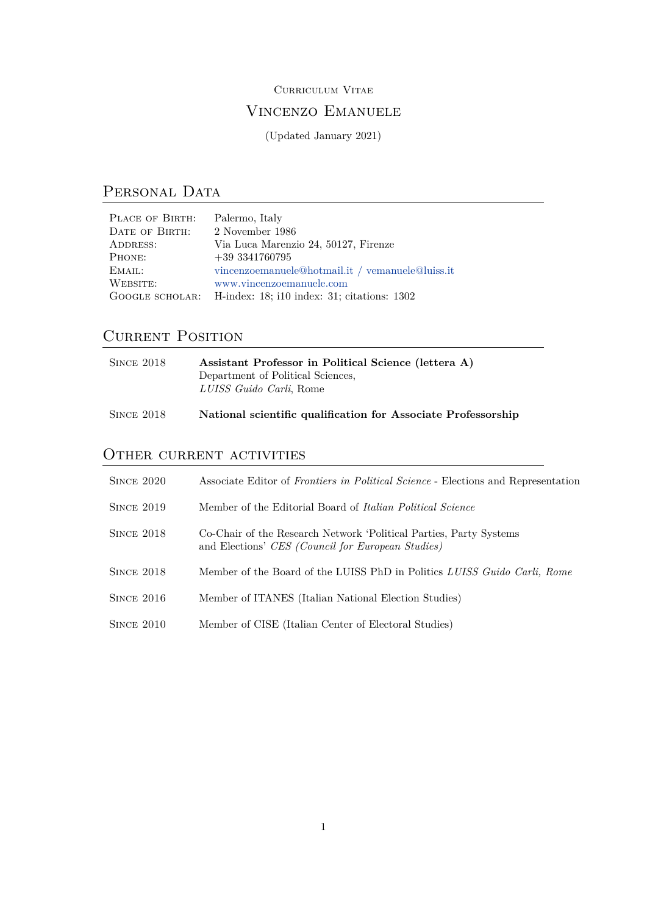## Curriculum Vitae

# Vincenzo Emanuele

(Updated January 2021)

# <span id="page-0-0"></span>PERSONAL DATA

| PLACE OF BIRTH: | Palermo, Italy                                        |
|-----------------|-------------------------------------------------------|
| DATE OF BIRTH:  | 2 November 1986                                       |
| ADDRESS:        | Via Luca Marenzio 24, 50127, Firenze                  |
| PHONE:          | $+393341760795$                                       |
| EMAIL:          | vincenzoemanuele@hotmail.it / vemanuele@luiss.it      |
| WEBSITE:        | www.vincenzoemanuele.com                              |
| GOOGLE SCHOLAR: | H-index: $18$ ; $110$ index: $31$ ; citations: $1302$ |

# CURRENT POSITION

| SINCE 2018 | Assistant Professor in Political Science (lettera A)<br>Department of Political Sciences,<br>LUISS Guido Carli, Rome |
|------------|----------------------------------------------------------------------------------------------------------------------|
| SINCE 2018 | National scientific qualification for Associate Professorship                                                        |

# OTHER CURRENT ACTIVITIES

| SINCE 2020   | Associate Editor of Frontiers in Political Science - Elections and Representation                                       |
|--------------|-------------------------------------------------------------------------------------------------------------------------|
| $SINCE$ 2019 | Member of the Editorial Board of <i>Italian Political Science</i>                                                       |
| SINCE 2018   | Co-Chair of the Research Network 'Political Parties, Party Systems<br>and Elections' CES (Council for European Studies) |
| SINCE 2018   | Member of the Board of the LUISS PhD in Politics LUISS Guido Carli, Rome                                                |
| $SINCE$ 2016 | Member of ITANES (Italian National Election Studies)                                                                    |
| SINCE 2010   | Member of CISE (Italian Center of Electoral Studies)                                                                    |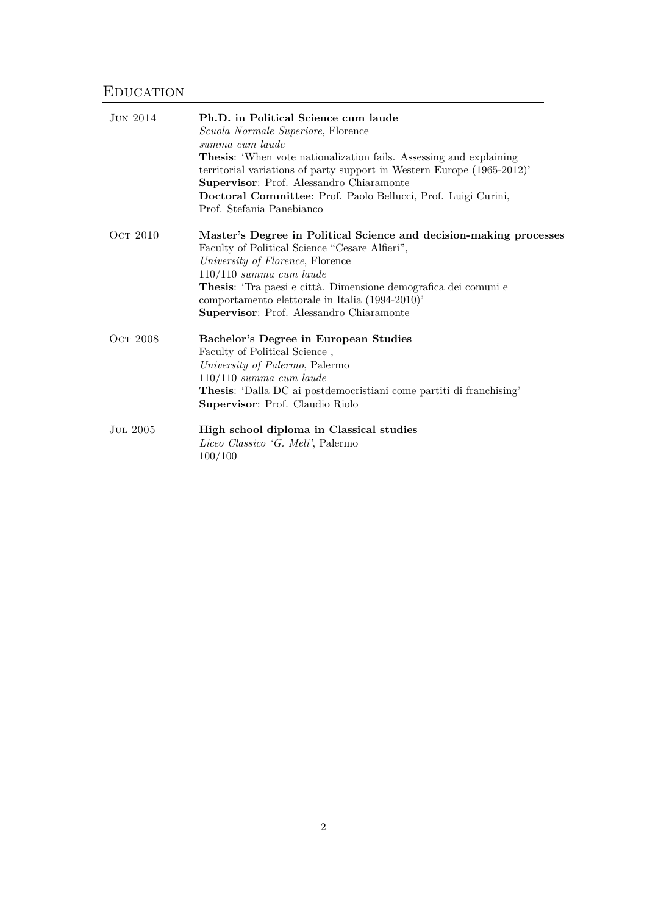# **EDUCATION**

| $JUN$ 2014      | Ph.D. in Political Science cum laude                                      |
|-----------------|---------------------------------------------------------------------------|
|                 | Scuola Normale Superiore, Florence                                        |
|                 | summa cum laude                                                           |
|                 | <b>Thesis:</b> 'When vote nationalization fails. Assessing and explaining |
|                 | territorial variations of party support in Western Europe $(1965-2012)$   |
|                 | Supervisor: Prof. Alessandro Chiaramonte                                  |
|                 | Doctoral Committee: Prof. Paolo Bellucci, Prof. Luigi Curini,             |
|                 | Prof. Stefania Panebianco                                                 |
| Ост 2010        | Master's Degree in Political Science and decision-making processes        |
|                 | Faculty of Political Science "Cesare Alfieri",                            |
|                 | University of Florence, Florence                                          |
|                 | $110/110$ summa cum laude                                                 |
|                 | Thesis: 'Tra paesi e città. Dimensione demografica dei comuni e           |
|                 | comportamento elettorale in Italia (1994-2010)'                           |
|                 | <b>Supervisor:</b> Prof. Alessandro Chiaramonte                           |
| OCT 2008        | Bachelor's Degree in European Studies                                     |
|                 | Faculty of Political Science,                                             |
|                 | University of Palermo, Palermo                                            |
|                 | $110/110$ summa cum laude                                                 |
|                 | Thesis: 'Dalla DC ai postdemocristiani come partiti di franchising'       |
|                 | <b>Supervisor:</b> Prof. Claudio Riolo                                    |
| <b>JUL 2005</b> | High school diploma in Classical studies                                  |
|                 | Liceo Classico 'G. Meli', Palermo                                         |
|                 | 100/100                                                                   |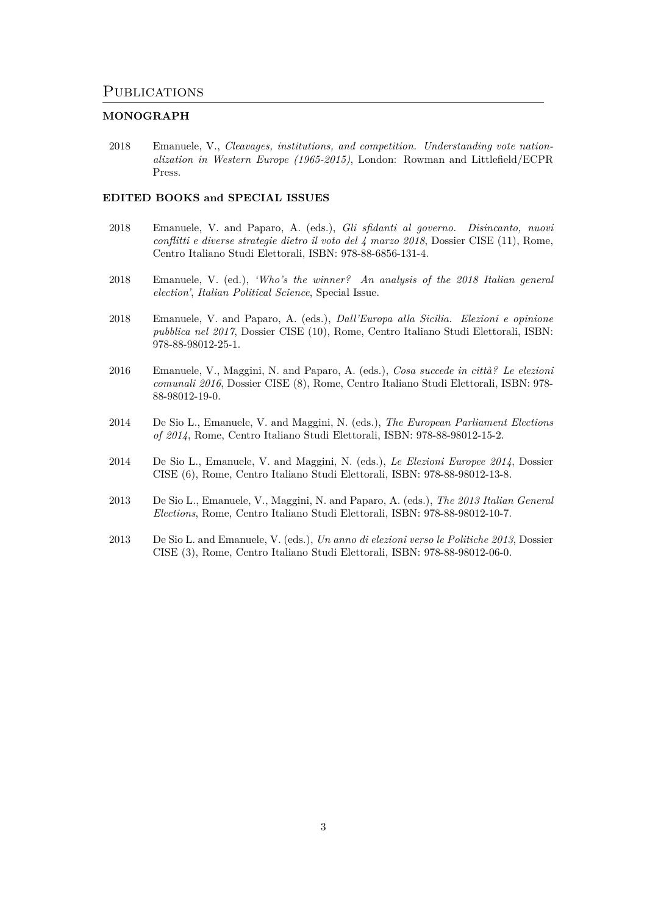#### **MONOGRAPH**

2018 Emanuele, V., *Cleavages, institutions, and competition. Understanding vote nationalization in Western Europe (1965-2015)*, London: Rowman and Littlefield/ECPR Press.

#### **EDITED BOOKS and SPECIAL ISSUES**

- 2018 Emanuele, V. and Paparo, A. (eds.), *Gli sfidanti al governo. Disincanto, nuovi conflitti e diverse strategie dietro il voto del 4 marzo 2018*, Dossier CISE (11), Rome, Centro Italiano Studi Elettorali, ISBN: 978-88-6856-131-4.
- 2018 Emanuele, V. (ed.), *'Who's the winner? An analysis of the 2018 Italian general election'*, *Italian Political Science*, Special Issue.
- 2018 Emanuele, V. and Paparo, A. (eds.), *Dall'Europa alla Sicilia. Elezioni e opinione pubblica nel 2017*, Dossier CISE (10), Rome, Centro Italiano Studi Elettorali, ISBN: 978-88-98012-25-1.
- 2016 Emanuele, V., Maggini, N. and Paparo, A. (eds.), *Cosa succede in città? Le elezioni comunali 2016*, Dossier CISE (8), Rome, Centro Italiano Studi Elettorali, ISBN: 978- 88-98012-19-0.
- 2014 De Sio L., Emanuele, V. and Maggini, N. (eds.), *The European Parliament Elections of 2014*, Rome, Centro Italiano Studi Elettorali, ISBN: 978-88-98012-15-2.
- 2014 De Sio L., Emanuele, V. and Maggini, N. (eds.), *Le Elezioni Europee 2014*, Dossier CISE (6), Rome, Centro Italiano Studi Elettorali, ISBN: 978-88-98012-13-8.
- 2013 De Sio L., Emanuele, V., Maggini, N. and Paparo, A. (eds.), *The 2013 Italian General Elections*, Rome, Centro Italiano Studi Elettorali, ISBN: 978-88-98012-10-7.
- 2013 De Sio L. and Emanuele, V. (eds.), *Un anno di elezioni verso le Politiche 2013*, Dossier CISE (3), Rome, Centro Italiano Studi Elettorali, ISBN: 978-88-98012-06-0.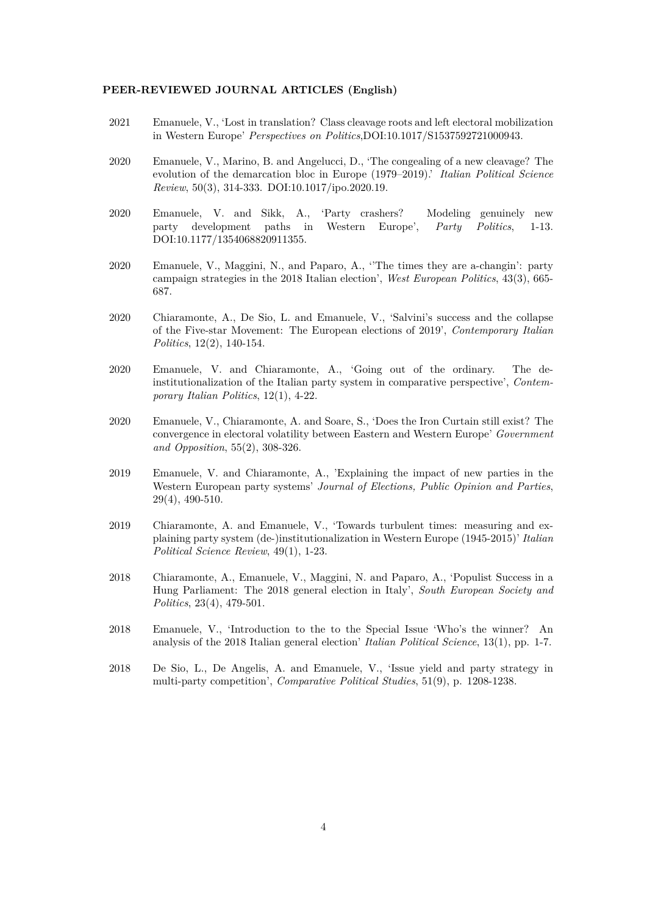#### **PEER-REVIEWED JOURNAL ARTICLES (English)**

- 2021 Emanuele, V., 'Lost in translation? Class cleavage roots and left electoral mobilization in Western Europe' *Perspectives on Politics*,DOI:10.1017/S1537592721000943.
- 2020 Emanuele, V., Marino, B. and Angelucci, D., 'The congealing of a new cleavage? The evolution of the demarcation bloc in Europe (1979–2019).' *Italian Political Science Review*, 50(3), 314-333. DOI:10.1017/ipo.2020.19.
- 2020 Emanuele, V. and Sikk, A., 'Party crashers? Modeling genuinely new party development paths in Western Europe', *Party Politics*, 1-13. DOI:10.1177/1354068820911355.
- 2020 Emanuele, V., Maggini, N., and Paparo, A., ''The times they are a-changin': party campaign strategies in the 2018 Italian election', *West European Politics*, 43(3), 665- 687.
- 2020 Chiaramonte, A., De Sio, L. and Emanuele, V., 'Salvini's success and the collapse of the Five-star Movement: The European elections of 2019', *Contemporary Italian Politics*, 12(2), 140-154.
- 2020 Emanuele, V. and Chiaramonte, A., 'Going out of the ordinary. The deinstitutionalization of the Italian party system in comparative perspective', *Contemporary Italian Politics*, 12(1), 4-22.
- 2020 Emanuele, V., Chiaramonte, A. and Soare, S., 'Does the Iron Curtain still exist? The convergence in electoral volatility between Eastern and Western Europe' *Government and Opposition*, 55(2), 308-326.
- 2019 Emanuele, V. and Chiaramonte, A., 'Explaining the impact of new parties in the Western European party systems' *Journal of Elections, Public Opinion and Parties*, 29(4), 490-510.
- 2019 Chiaramonte, A. and Emanuele, V., 'Towards turbulent times: measuring and explaining party system (de-)institutionalization in Western Europe (1945-2015)' *Italian Political Science Review*, 49(1), 1-23.
- 2018 Chiaramonte, A., Emanuele, V., Maggini, N. and Paparo, A., 'Populist Success in a Hung Parliament: The 2018 general election in Italy', *South European Society and Politics*, 23(4), 479-501.
- 2018 Emanuele, V., 'Introduction to the to the Special Issue 'Who's the winner? An analysis of the 2018 Italian general election' *Italian Political Science*, 13(1), pp. 1-7.
- 2018 De Sio, L., De Angelis, A. and Emanuele, V., 'Issue yield and party strategy in multi-party competition', *Comparative Political Studies*, 51(9), p. 1208-1238.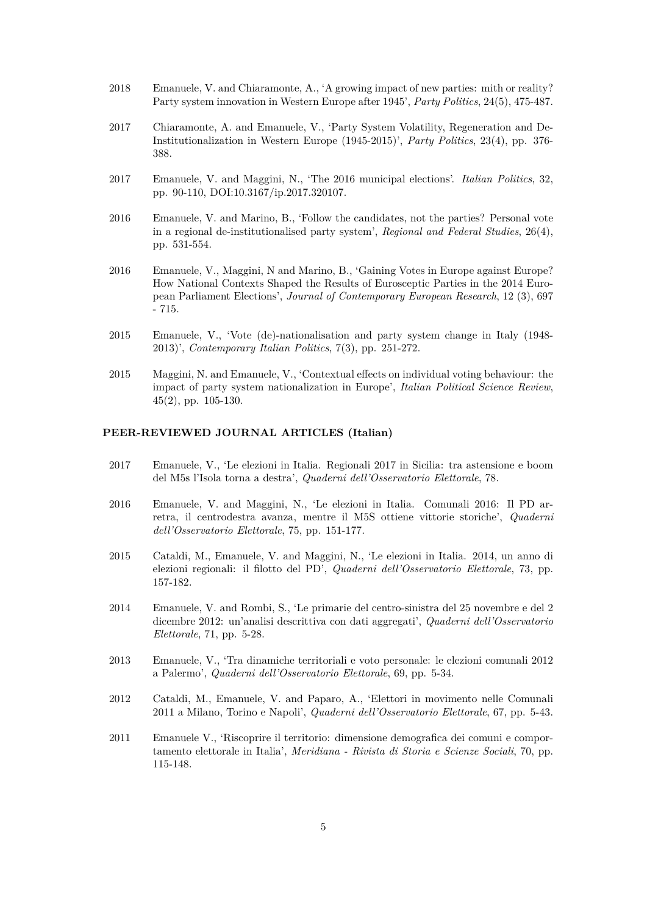- 2018 Emanuele, V. and Chiaramonte, A., 'A growing impact of new parties: mith or reality? Party system innovation in Western Europe after 1945', *Party Politics*, 24(5), 475-487.
- 2017 Chiaramonte, A. and Emanuele, V., 'Party System Volatility, Regeneration and De-Institutionalization in Western Europe (1945-2015)', *Party Politics*, 23(4), pp. 376- 388.
- 2017 Emanuele, V. and Maggini, N., 'The 2016 municipal elections'. *Italian Politics*, 32, pp. 90-110, DOI:10.3167/ip.2017.320107.
- 2016 Emanuele, V. and Marino, B., 'Follow the candidates, not the parties? Personal vote in a regional de-institutionalised party system', *Regional and Federal Studies*, 26(4), pp. 531-554.
- 2016 Emanuele, V., Maggini, N and Marino, B., 'Gaining Votes in Europe against Europe? How National Contexts Shaped the Results of Eurosceptic Parties in the 2014 European Parliament Elections', *Journal of Contemporary European Research*, 12 (3), 697 - 715.
- 2015 Emanuele, V., 'Vote (de)-nationalisation and party system change in Italy (1948- 2013)', *Contemporary Italian Politics*, 7(3), pp. 251-272.
- 2015 Maggini, N. and Emanuele, V., 'Contextual effects on individual voting behaviour: the impact of party system nationalization in Europe', *Italian Political Science Review*, 45(2), pp. 105-130.

#### **PEER-REVIEWED JOURNAL ARTICLES (Italian)**

- 2017 Emanuele, V., 'Le elezioni in Italia. Regionali 2017 in Sicilia: tra astensione e boom del M5s l'Isola torna a destra', *Quaderni dell'Osservatorio Elettorale*, 78.
- 2016 Emanuele, V. and Maggini, N., 'Le elezioni in Italia. Comunali 2016: Il PD arretra, il centrodestra avanza, mentre il M5S ottiene vittorie storiche', *Quaderni dell'Osservatorio Elettorale*, 75, pp. 151-177.
- 2015 Cataldi, M., Emanuele, V. and Maggini, N., 'Le elezioni in Italia. 2014, un anno di elezioni regionali: il filotto del PD', *Quaderni dell'Osservatorio Elettorale*, 73, pp. 157-182.
- 2014 Emanuele, V. and Rombi, S., 'Le primarie del centro-sinistra del 25 novembre e del 2 dicembre 2012: un'analisi descrittiva con dati aggregati', *Quaderni dell'Osservatorio Elettorale*, 71, pp. 5-28.
- 2013 Emanuele, V., 'Tra dinamiche territoriali e voto personale: le elezioni comunali 2012 a Palermo', *Quaderni dell'Osservatorio Elettorale*, 69, pp. 5-34.
- 2012 Cataldi, M., Emanuele, V. and Paparo, A., 'Elettori in movimento nelle Comunali 2011 a Milano, Torino e Napoli', *Quaderni dell'Osservatorio Elettorale*, 67, pp. 5-43.
- 2011 Emanuele V., 'Riscoprire il territorio: dimensione demografica dei comuni e comportamento elettorale in Italia', *Meridiana - Rivista di Storia e Scienze Sociali*, 70, pp. 115-148.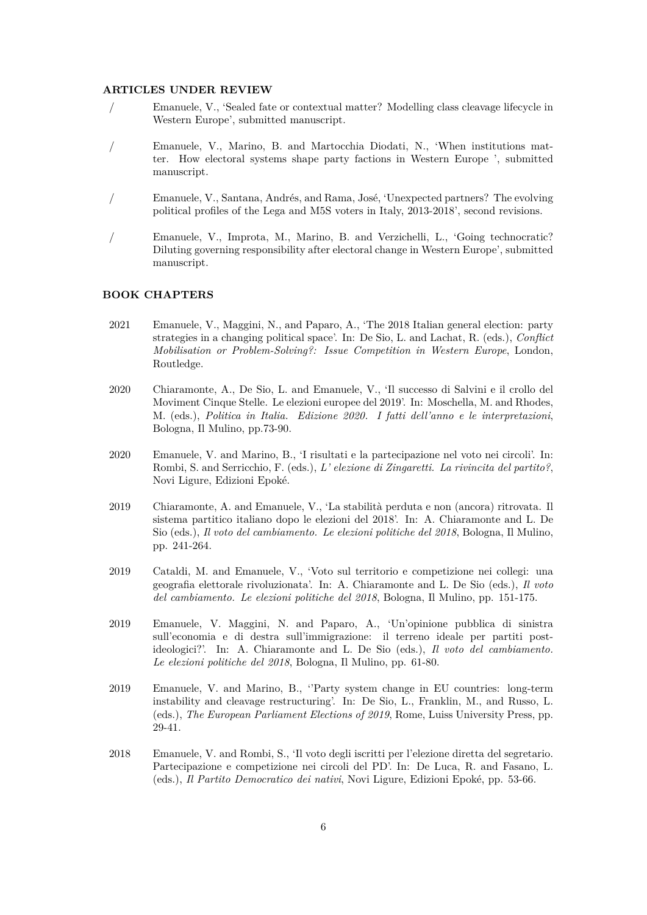#### **ARTICLES UNDER REVIEW**

- / Emanuele, V., 'Sealed fate or contextual matter? Modelling class cleavage lifecycle in Western Europe', submitted manuscript.
- Emanuele, V., Marino, B. and Martocchia Diodati, N., 'When institutions matter. How electoral systems shape party factions in Western Europe ', submitted manuscript.
- / Emanuele, V., Santana, Andrés, and Rama, José, 'Unexpected partners? The evolving political profiles of the Lega and M5S voters in Italy, 2013-2018', second revisions.
- / Emanuele, V., Improta, M., Marino, B. and Verzichelli, L., 'Going technocratic? Diluting governing responsibility after electoral change in Western Europe', submitted manuscript.

#### **BOOK CHAPTERS**

- 2021 Emanuele, V., Maggini, N., and Paparo, A., 'The 2018 Italian general election: party strategies in a changing political space'. In: De Sio, L. and Lachat, R. (eds.), *Conflict Mobilisation or Problem-Solving?: Issue Competition in Western Europe*, London, Routledge.
- 2020 Chiaramonte, A., De Sio, L. and Emanuele, V., 'Il successo di Salvini e il crollo del Moviment Cinque Stelle. Le elezioni europee del 2019'. In: Moschella, M. and Rhodes, M. (eds.), *Politica in Italia. Edizione 2020. I fatti dell'anno e le interpretazioni*, Bologna, Il Mulino, pp.73-90.
- 2020 Emanuele, V. and Marino, B., 'I risultati e la partecipazione nel voto nei circoli'. In: Rombi, S. and Serricchio, F. (eds.), *L' elezione di Zingaretti. La rivincita del partito?*, Novi Ligure, Edizioni Epoké.
- 2019 Chiaramonte, A. and Emanuele, V., 'La stabilità perduta e non (ancora) ritrovata. Il sistema partitico italiano dopo le elezioni del 2018'. In: A. Chiaramonte and L. De Sio (eds.), *Il voto del cambiamento. Le elezioni politiche del 2018*, Bologna, Il Mulino, pp. 241-264.
- 2019 Cataldi, M. and Emanuele, V., 'Voto sul territorio e competizione nei collegi: una geografia elettorale rivoluzionata'. In: A. Chiaramonte and L. De Sio (eds.), *Il voto del cambiamento. Le elezioni politiche del 2018*, Bologna, Il Mulino, pp. 151-175.
- 2019 Emanuele, V. Maggini, N. and Paparo, A., 'Un'opinione pubblica di sinistra sull'economia e di destra sull'immigrazione: il terreno ideale per partiti postideologici?'. In: A. Chiaramonte and L. De Sio (eds.), *Il voto del cambiamento. Le elezioni politiche del 2018*, Bologna, Il Mulino, pp. 61-80.
- 2019 Emanuele, V. and Marino, B., ''Party system change in EU countries: long-term instability and cleavage restructuring'. In: De Sio, L., Franklin, M., and Russo, L. (eds.), *The European Parliament Elections of 2019*, Rome, Luiss University Press, pp. 29-41.
- 2018 Emanuele, V. and Rombi, S., 'Il voto degli iscritti per l'elezione diretta del segretario. Partecipazione e competizione nei circoli del PD'. In: De Luca, R. and Fasano, L. (eds.), *Il Partito Democratico dei nativi*, Novi Ligure, Edizioni Epoké, pp. 53-66.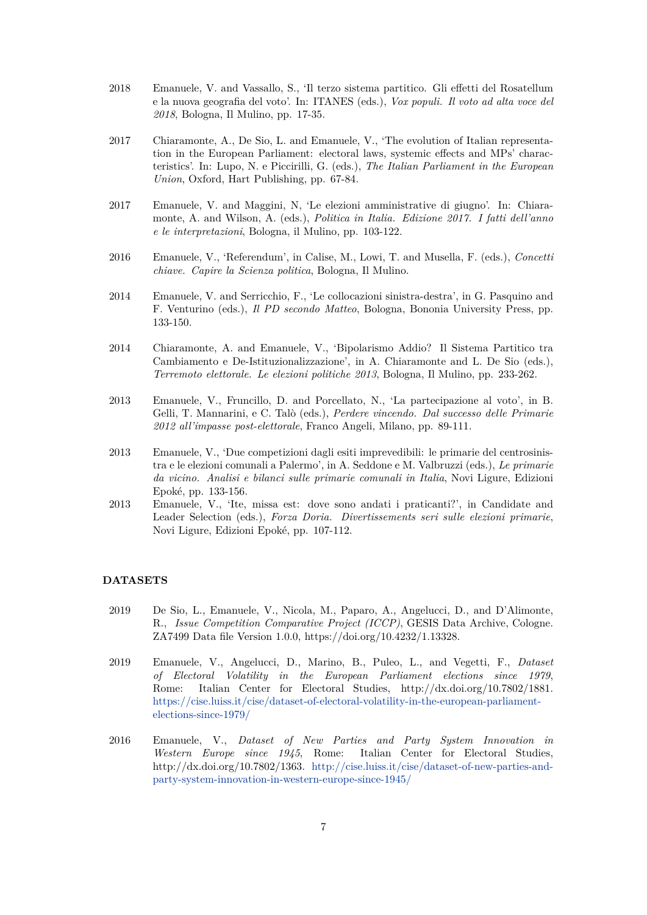- 2018 Emanuele, V. and Vassallo, S., 'Il terzo sistema partitico. Gli effetti del Rosatellum e la nuova geografia del voto'. In: ITANES (eds.), *Vox populi. Il voto ad alta voce del 2018*, Bologna, Il Mulino, pp. 17-35.
- 2017 Chiaramonte, A., De Sio, L. and Emanuele, V., 'The evolution of Italian representation in the European Parliament: electoral laws, systemic effects and MPs' characteristics'. In: Lupo, N. e Piccirilli, G. (eds.), *The Italian Parliament in the European Union*, Oxford, Hart Publishing, pp. 67-84.
- 2017 Emanuele, V. and Maggini, N, 'Le elezioni amministrative di giugno'. In: Chiaramonte, A. and Wilson, A. (eds.), *Politica in Italia. Edizione 2017. I fatti dell'anno e le interpretazioni*, Bologna, il Mulino, pp. 103-122.
- 2016 Emanuele, V., 'Referendum', in Calise, M., Lowi, T. and Musella, F. (eds.), *Concetti chiave. Capire la Scienza politica*, Bologna, Il Mulino.
- 2014 Emanuele, V. and Serricchio, F., 'Le collocazioni sinistra-destra', in G. Pasquino and F. Venturino (eds.), *Il PD secondo Matteo*, Bologna, Bononia University Press, pp. 133-150.
- 2014 Chiaramonte, A. and Emanuele, V., 'Bipolarismo Addio? Il Sistema Partitico tra Cambiamento e De-Istituzionalizzazione', in A. Chiaramonte and L. De Sio (eds.), *Terremoto elettorale. Le elezioni politiche 2013*, Bologna, Il Mulino, pp. 233-262.
- 2013 Emanuele, V., Fruncillo, D. and Porcellato, N., 'La partecipazione al voto', in B. Gelli, T. Mannarini, e C. Talò (eds.), *Perdere vincendo. Dal successo delle Primarie 2012 all'impasse post-elettorale*, Franco Angeli, Milano, pp. 89-111.
- 2013 Emanuele, V., 'Due competizioni dagli esiti imprevedibili: le primarie del centrosinistra e le elezioni comunali a Palermo', in A. Seddone e M. Valbruzzi (eds.), *Le primarie da vicino. Analisi e bilanci sulle primarie comunali in Italia*, Novi Ligure, Edizioni Epoké, pp. 133-156.
- 2013 Emanuele, V., 'Ite, missa est: dove sono andati i praticanti?', in Candidate and Leader Selection (eds.), *Forza Doria. Divertissements seri sulle elezioni primarie*, Novi Ligure, Edizioni Epoké, pp. 107-112.

### **DATASETS**

- 2019 De Sio, L., Emanuele, V., Nicola, M., Paparo, A., Angelucci, D., and D'Alimonte, R., *Issue Competition Comparative Project (ICCP)*, GESIS Data Archive, Cologne. ZA7499 Data file Version 1.0.0, https://doi.org/10.4232/1.13328.
- 2019 Emanuele, V., Angelucci, D., Marino, B., Puleo, L., and Vegetti, F., *Dataset of Electoral Volatility in the European Parliament elections since 1979*, Rome: Italian Center for Electoral Studies, http://dx.doi.org/10.7802/1881. [https://cise.luiss.it/cise/dataset-of-electoral-volatility-in-the-european-parliament](https://cise.luiss.it/cise/dataset-of-electoral-volatility-in-the-european-parliament-elections-since-1979/)[elections-since-1979/](https://cise.luiss.it/cise/dataset-of-electoral-volatility-in-the-european-parliament-elections-since-1979/)
- 2016 Emanuele, V., *Dataset of New Parties and Party System Innovation in Western Europe since 1945*, Rome: Italian Center for Electoral Studies, http://dx.doi.org/10.7802/1363. [http://cise.luiss.it/cise/dataset-of-new-parties-and](http://cise.luiss.it/cise/dataset-of-new-parties-and-party-system-innovation-in-western-europe-since-1945/)[party-system-innovation-in-western-europe-since-1945/](http://cise.luiss.it/cise/dataset-of-new-parties-and-party-system-innovation-in-western-europe-since-1945/)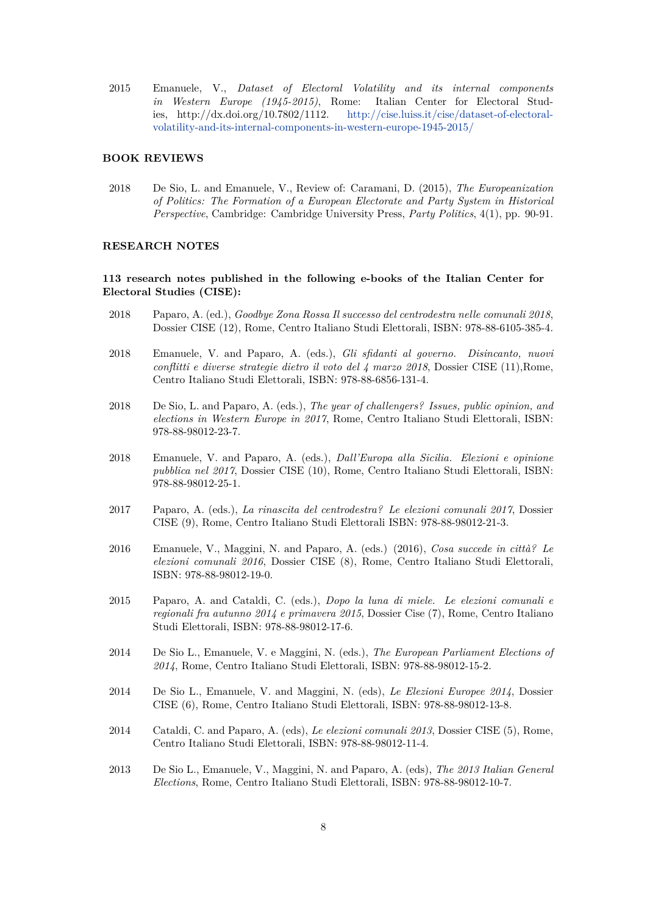2015 Emanuele, V., *Dataset of Electoral Volatility and its internal components in Western Europe (1945-2015)*, Rome: Italian Center for Electoral Studies, http://dx.doi.org/10.7802/1112. [http://cise.luiss.it/cise/dataset-of-electoral](http://cise.luiss.it/cise/dataset-of-electoral-volatility-and-its-internal-components-in-western-europe-1945-2015/)[volatility-and-its-internal-components-in-western-europe-1945-2015/](http://cise.luiss.it/cise/dataset-of-electoral-volatility-and-its-internal-components-in-western-europe-1945-2015/)

#### **BOOK REVIEWS**

2018 De Sio, L. and Emanuele, V., Review of: Caramani, D. (2015), *The Europeanization of Politics: The Formation of a European Electorate and Party System in Historical Perspective*, Cambridge: Cambridge University Press, *Party Politics*, 4(1), pp. 90-91.

#### **RESEARCH NOTES**

### **113 research notes published in the following e-books of the Italian Center for Electoral Studies (CISE):**

- 2018 Paparo, A. (ed.), *Goodbye Zona Rossa Il successo del centrodestra nelle comunali 2018*, Dossier CISE (12), Rome, Centro Italiano Studi Elettorali, ISBN: 978-88-6105-385-4.
- 2018 Emanuele, V. and Paparo, A. (eds.), *Gli sfidanti al governo. Disincanto, nuovi conflitti e diverse strategie dietro il voto del 4 marzo 2018*, Dossier CISE (11),Rome, Centro Italiano Studi Elettorali, ISBN: 978-88-6856-131-4.
- 2018 De Sio, L. and Paparo, A. (eds.), *The year of challengers? Issues, public opinion, and elections in Western Europe in 2017*, Rome, Centro Italiano Studi Elettorali, ISBN: 978-88-98012-23-7.
- 2018 Emanuele, V. and Paparo, A. (eds.), *Dall'Europa alla Sicilia. Elezioni e opinione pubblica nel 2017*, Dossier CISE (10), Rome, Centro Italiano Studi Elettorali, ISBN: 978-88-98012-25-1.
- 2017 Paparo, A. (eds.), *La rinascita del centrodestra? Le elezioni comunali 2017*, Dossier CISE (9), Rome, Centro Italiano Studi Elettorali ISBN: 978-88-98012-21-3.
- 2016 Emanuele, V., Maggini, N. and Paparo, A. (eds.) (2016), *Cosa succede in città? Le elezioni comunali 2016*, Dossier CISE (8), Rome, Centro Italiano Studi Elettorali, ISBN: 978-88-98012-19-0.
- 2015 Paparo, A. and Cataldi, C. (eds.), *Dopo la luna di miele. Le elezioni comunali e regionali fra autunno 2014 e primavera 2015*, Dossier Cise (7), Rome, Centro Italiano Studi Elettorali, ISBN: 978-88-98012-17-6.
- 2014 De Sio L., Emanuele, V. e Maggini, N. (eds.), *The European Parliament Elections of 2014*, Rome, Centro Italiano Studi Elettorali, ISBN: 978-88-98012-15-2.
- 2014 De Sio L., Emanuele, V. and Maggini, N. (eds), *Le Elezioni Europee 2014*, Dossier CISE (6), Rome, Centro Italiano Studi Elettorali, ISBN: 978-88-98012-13-8.
- 2014 Cataldi, C. and Paparo, A. (eds), *Le elezioni comunali 2013*, Dossier CISE (5), Rome, Centro Italiano Studi Elettorali, ISBN: 978-88-98012-11-4.
- 2013 De Sio L., Emanuele, V., Maggini, N. and Paparo, A. (eds), *The 2013 Italian General Elections*, Rome, Centro Italiano Studi Elettorali, ISBN: 978-88-98012-10-7.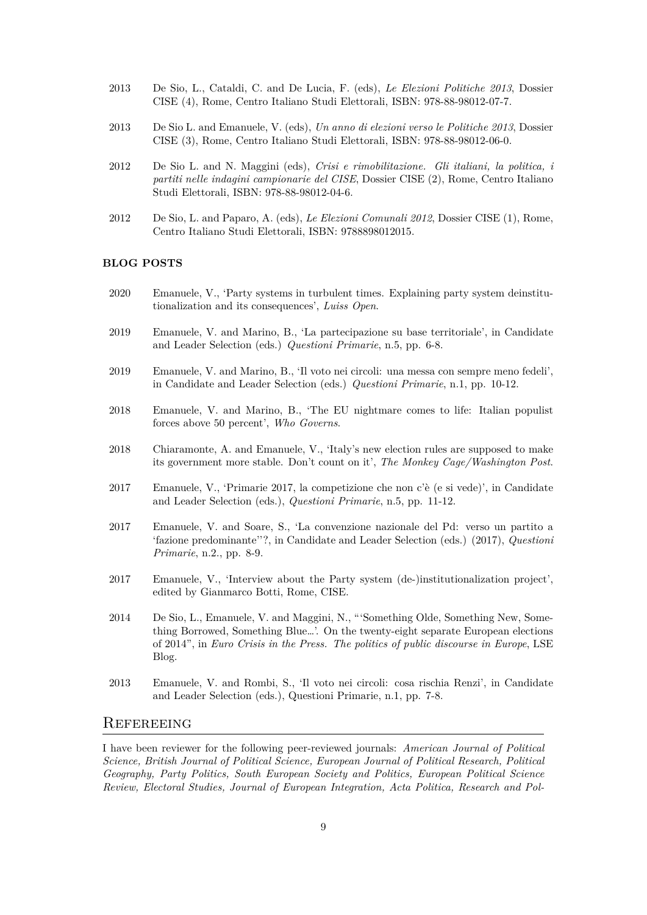- 2013 De Sio, L., Cataldi, C. and De Lucia, F. (eds), *Le Elezioni Politiche 2013*, Dossier CISE (4), Rome, Centro Italiano Studi Elettorali, ISBN: 978-88-98012-07-7.
- 2013 De Sio L. and Emanuele, V. (eds), *Un anno di elezioni verso le Politiche 2013*, Dossier CISE (3), Rome, Centro Italiano Studi Elettorali, ISBN: 978-88-98012-06-0.
- 2012 De Sio L. and N. Maggini (eds), *Crisi e rimobilitazione. Gli italiani, la politica, i partiti nelle indagini campionarie del CISE*, Dossier CISE (2), Rome, Centro Italiano Studi Elettorali, ISBN: 978-88-98012-04-6.
- 2012 De Sio, L. and Paparo, A. (eds), *Le Elezioni Comunali 2012*, Dossier CISE (1), Rome, Centro Italiano Studi Elettorali, ISBN: 9788898012015.

#### **BLOG POSTS**

- 2020 Emanuele, V., 'Party systems in turbulent times. Explaining party system deinstitutionalization and its consequences', *Luiss Open*.
- 2019 Emanuele, V. and Marino, B., 'La partecipazione su base territoriale', in Candidate and Leader Selection (eds.) *Questioni Primarie*, n.5, pp. 6-8.
- 2019 Emanuele, V. and Marino, B., 'Il voto nei circoli: una messa con sempre meno fedeli', in Candidate and Leader Selection (eds.) *Questioni Primarie*, n.1, pp. 10-12.
- 2018 Emanuele, V. and Marino, B., 'The EU nightmare comes to life: Italian populist forces above 50 percent', *Who Governs*.
- 2018 Chiaramonte, A. and Emanuele, V., 'Italy's new election rules are supposed to make its government more stable. Don't count on it', *The Monkey Cage/Washington Post*.
- 2017 Emanuele, V., 'Primarie 2017, la competizione che non c'è (e si vede)', in Candidate and Leader Selection (eds.), *Questioni Primarie*, n.5, pp. 11-12.
- 2017 Emanuele, V. and Soare, S., 'La convenzione nazionale del Pd: verso un partito a 'fazione predominante''?, in Candidate and Leader Selection (eds.) (2017), *Questioni Primarie*, n.2., pp. 8-9.
- 2017 Emanuele, V., 'Interview about the Party system (de-)institutionalization project', edited by Gianmarco Botti, Rome, CISE.
- 2014 De Sio, L., Emanuele, V. and Maggini, N., "'Something Olde, Something New, Something Borrowed, Something Blue…'. On the twenty-eight separate European elections of 2014", in *Euro Crisis in the Press. The politics of public discourse in Europe*, LSE Blog.
- 2013 Emanuele, V. and Rombi, S., 'Il voto nei circoli: cosa rischia Renzi', in Candidate and Leader Selection (eds.), Questioni Primarie, n.1, pp. 7-8.

### **REFEREEING**

I have been reviewer for the following peer-reviewed journals: *American Journal of Political Science, British Journal of Political Science, European Journal of Political Research, Political Geography, Party Politics, South European Society and Politics, European Political Science Review, Electoral Studies, Journal of European Integration, Acta Politica, Research and Pol-*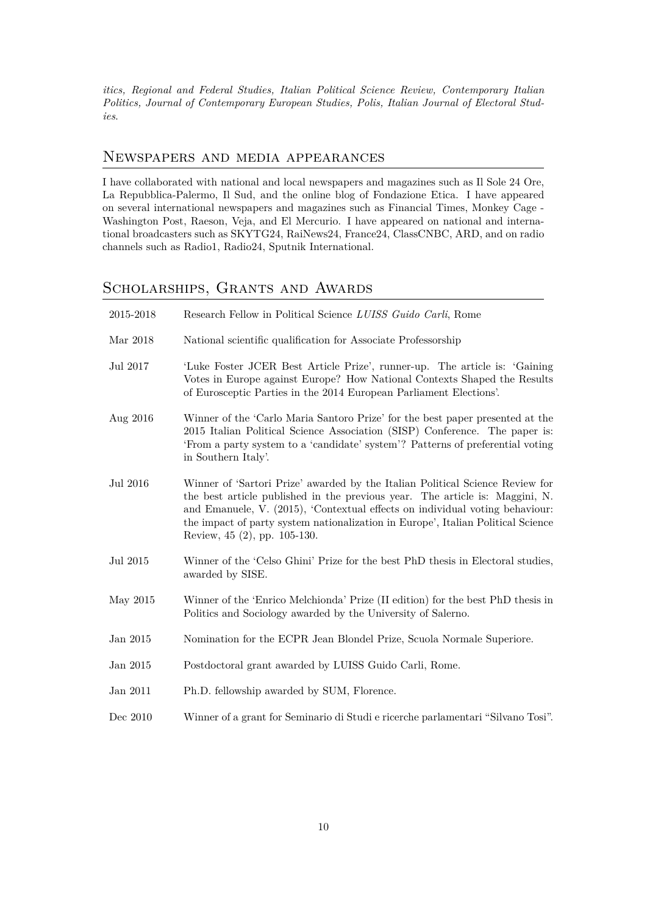*itics, Regional and Federal Studies, Italian Political Science Review, Contemporary Italian Politics, Journal of Contemporary European Studies, Polis, Italian Journal of Electoral Studies*.

## Newspapers and media appearances

I have collaborated with national and local newspapers and magazines such as Il Sole 24 Ore, La Repubblica-Palermo, Il Sud, and the online blog of Fondazione Etica. I have appeared on several international newspapers and magazines such as Financial Times, Monkey Cage - Washington Post, Raeson, Veja, and El Mercurio. I have appeared on national and international broadcasters such as SKYTG24, RaiNews24, France24, ClassCNBC, ARD, and on radio channels such as Radio1, Radio24, Sputnik International.

# SCHOLARSHIPS, GRANTS AND AWARDS

| 2015-2018 | Research Fellow in Political Science LUISS Guido Carli, Rome                                                                                                                                                                                                                                                                                                      |
|-----------|-------------------------------------------------------------------------------------------------------------------------------------------------------------------------------------------------------------------------------------------------------------------------------------------------------------------------------------------------------------------|
| Mar 2018  | National scientific qualification for Associate Professorship                                                                                                                                                                                                                                                                                                     |
| Jul 2017  | 'Luke Foster JCER Best Article Prize', runner-up. The article is: 'Gaining'<br>Votes in Europe against Europe? How National Contexts Shaped the Results<br>of Eurosceptic Parties in the 2014 European Parliament Elections'.                                                                                                                                     |
| Aug 2016  | Winner of the 'Carlo Maria Santoro Prize' for the best paper presented at the<br>2015 Italian Political Science Association (SISP) Conference. The paper is:<br>'From a party system to a 'candidate' system'? Patterns of preferential voting<br>in Southern Italy'.                                                                                             |
| Jul 2016  | Winner of 'Sartori Prize' awarded by the Italian Political Science Review for<br>the best article published in the previous year. The article is: Maggini, N.<br>and Emanuele, V. (2015), 'Contextual effects on individual voting behaviour:<br>the impact of party system nationalization in Europe', Italian Political Science<br>Review, 45 (2), pp. 105-130. |
| Jul 2015  | Winner of the 'Celso Ghini' Prize for the best PhD thesis in Electoral studies,<br>awarded by SISE.                                                                                                                                                                                                                                                               |
| May 2015  | Winner of the 'Enrico Melchionda' Prize (II edition) for the best PhD thesis in<br>Politics and Sociology awarded by the University of Salerno.                                                                                                                                                                                                                   |
| Jan 2015  | Nomination for the ECPR Jean Blondel Prize, Scuola Normale Superiore.                                                                                                                                                                                                                                                                                             |
| Jan 2015  | Postdoctoral grant awarded by LUISS Guido Carli, Rome.                                                                                                                                                                                                                                                                                                            |
| Jan 2011  | Ph.D. fellowship awarded by SUM, Florence.                                                                                                                                                                                                                                                                                                                        |
| Dec 2010  | Winner of a grant for Seminario di Studi e ricerche parlamentari "Silvano Tosi".                                                                                                                                                                                                                                                                                  |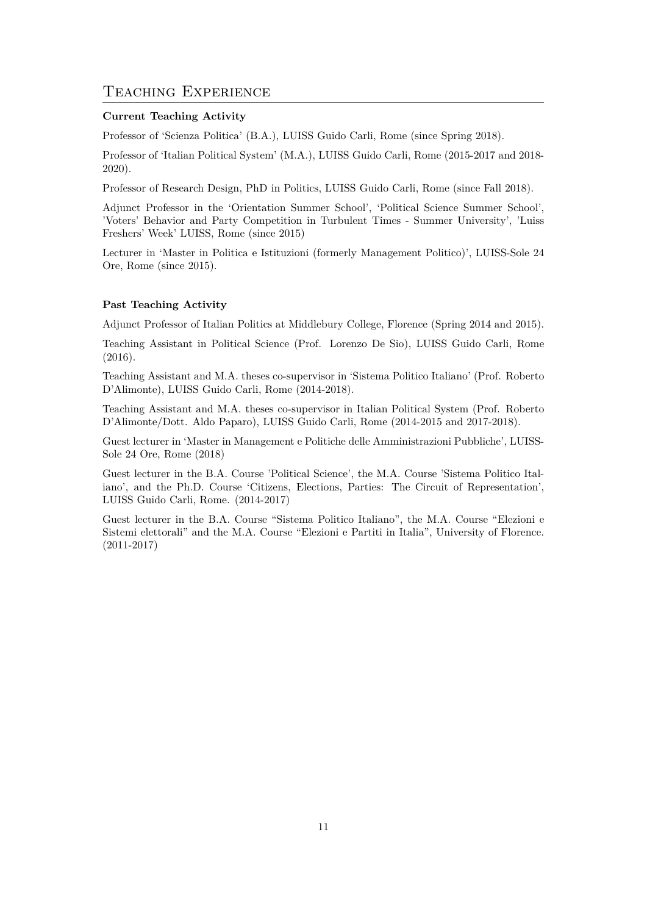### Teaching Experience

#### **Current Teaching Activity**

Professor of 'Scienza Politica' (B.A.), LUISS Guido Carli, Rome (since Spring 2018).

Professor of 'Italian Political System' (M.A.), LUISS Guido Carli, Rome (2015-2017 and 2018- 2020).

Professor of Research Design, PhD in Politics, LUISS Guido Carli, Rome (since Fall 2018).

Adjunct Professor in the 'Orientation Summer School', 'Political Science Summer School', 'Voters' Behavior and Party Competition in Turbulent Times - Summer University', 'Luiss Freshers' Week' LUISS, Rome (since 2015)

Lecturer in 'Master in Politica e Istituzioni (formerly Management Politico)', LUISS-Sole 24 Ore, Rome (since 2015).

#### **Past Teaching Activity**

Adjunct Professor of Italian Politics at Middlebury College, Florence (Spring 2014 and 2015).

Teaching Assistant in Political Science (Prof. Lorenzo De Sio), LUISS Guido Carli, Rome (2016).

Teaching Assistant and M.A. theses co-supervisor in 'Sistema Politico Italiano' (Prof. Roberto D'Alimonte), LUISS Guido Carli, Rome (2014-2018).

Teaching Assistant and M.A. theses co-supervisor in Italian Political System (Prof. Roberto D'Alimonte/Dott. Aldo Paparo), LUISS Guido Carli, Rome (2014-2015 and 2017-2018).

Guest lecturer in 'Master in Management e Politiche delle Amministrazioni Pubbliche', LUISS-Sole 24 Ore, Rome (2018)

Guest lecturer in the B.A. Course 'Political Science', the M.A. Course 'Sistema Politico Italiano', and the Ph.D. Course 'Citizens, Elections, Parties: The Circuit of Representation', LUISS Guido Carli, Rome. (2014-2017)

Guest lecturer in the B.A. Course "Sistema Politico Italiano", the M.A. Course "Elezioni e Sistemi elettorali" and the M.A. Course "Elezioni e Partiti in Italia", University of Florence. (2011-2017)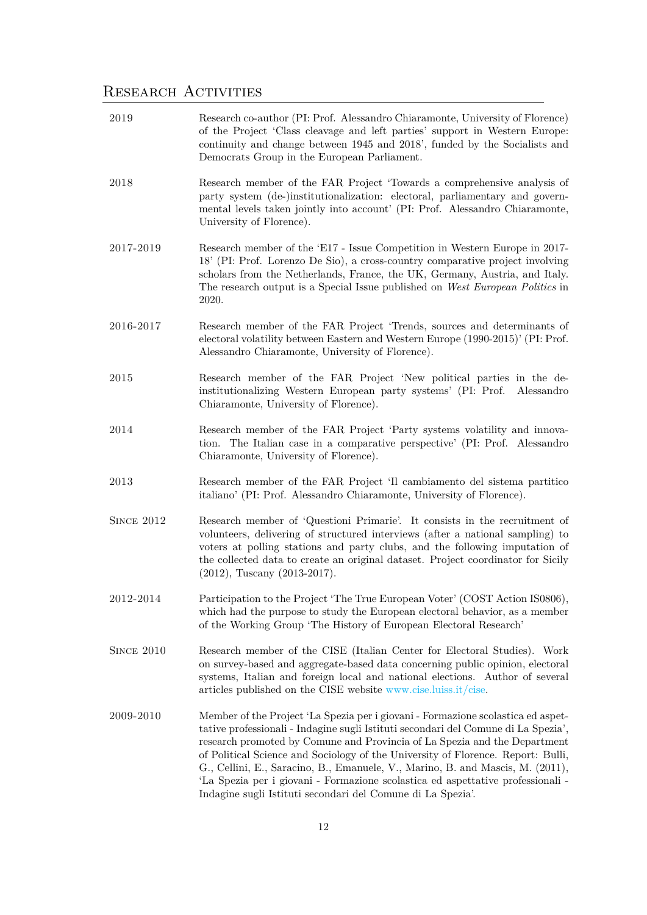# RESEARCH ACTIVITIES

| 2019       | Research co-author (PI: Prof. Alessandro Chiaramonte, University of Florence)<br>of the Project 'Class cleavage and left parties' support in Western Europe:<br>continuity and change between 1945 and 2018', funded by the Socialists and<br>Democrats Group in the European Parliament.                                                                                                                                                                                                                                                                                   |
|------------|-----------------------------------------------------------------------------------------------------------------------------------------------------------------------------------------------------------------------------------------------------------------------------------------------------------------------------------------------------------------------------------------------------------------------------------------------------------------------------------------------------------------------------------------------------------------------------|
| 2018       | Research member of the FAR Project 'Towards a comprehensive analysis of<br>party system (de-)institutionalization: electoral, parliamentary and govern-<br>mental levels taken jointly into account' (PI: Prof. Alessandro Chiaramonte,<br>University of Florence).                                                                                                                                                                                                                                                                                                         |
| 2017-2019  | Research member of the 'E17 - Issue Competition in Western Europe in 2017-<br>18' (PI: Prof. Lorenzo De Sio), a cross-country comparative project involving<br>scholars from the Netherlands, France, the UK, Germany, Austria, and Italy.<br>The research output is a Special Issue published on West European Politics in<br>2020.                                                                                                                                                                                                                                        |
| 2016-2017  | Research member of the FAR Project 'Trends, sources and determinants of<br>electoral volatility between Eastern and Western Europe (1990-2015)' (PI: Prof.<br>Alessandro Chiaramonte, University of Florence).                                                                                                                                                                                                                                                                                                                                                              |
| 2015       | Research member of the FAR Project 'New political parties in the de-<br>institutionalizing Western European party systems' (PI: Prof.<br>Alessandro<br>Chiaramonte, University of Florence).                                                                                                                                                                                                                                                                                                                                                                                |
| 2014       | Research member of the FAR Project 'Party systems volatility and innova-<br>tion. The Italian case in a comparative perspective' (PI: Prof. Alessandro<br>Chiaramonte, University of Florence).                                                                                                                                                                                                                                                                                                                                                                             |
| 2013       | Research member of the FAR Project 'Il cambiamento del sistema partitico<br>italiano' (PI: Prof. Alessandro Chiaramonte, University of Florence).                                                                                                                                                                                                                                                                                                                                                                                                                           |
| SINCE 2012 | Research member of 'Questioni Primarie'. It consists in the recruitment of<br>volunteers, delivering of structured interviews (after a national sampling) to<br>voters at polling stations and party clubs, and the following imputation of<br>the collected data to create an original dataset. Project coordinator for Sicily<br>$(2012)$ , Tuscany $(2013-2017)$ .                                                                                                                                                                                                       |
| 2012-2014  | Participation to the Project 'The True European Voter' (COST Action IS0806),<br>which had the purpose to study the European electoral behavior, as a member<br>of the Working Group 'The History of European Electoral Research'                                                                                                                                                                                                                                                                                                                                            |
| SINCE 2010 | Research member of the CISE (Italian Center for Electoral Studies). Work<br>on survey-based and aggregate-based data concerning public opinion, electoral<br>systems, Italian and foreign local and national elections. Author of several<br>articles published on the CISE website www.cise.luiss.it/cise.                                                                                                                                                                                                                                                                 |
| 2009-2010  | Member of the Project 'La Spezia per i giovani - Formazione scolastica ed aspet-<br>tative professionali - Indagine sugli Istituti secondari del Comune di La Spezia',<br>research promoted by Comune and Provincia of La Spezia and the Department<br>of Political Science and Sociology of the University of Florence. Report: Bulli,<br>G., Cellini, E., Saracino, B., Emanuele, V., Marino, B. and Mascis, M. (2011),<br>'La Spezia per i giovani - Formazione scolastica ed aspettative professionali -<br>Indagine sugli Istituti secondari del Comune di La Spezia'. |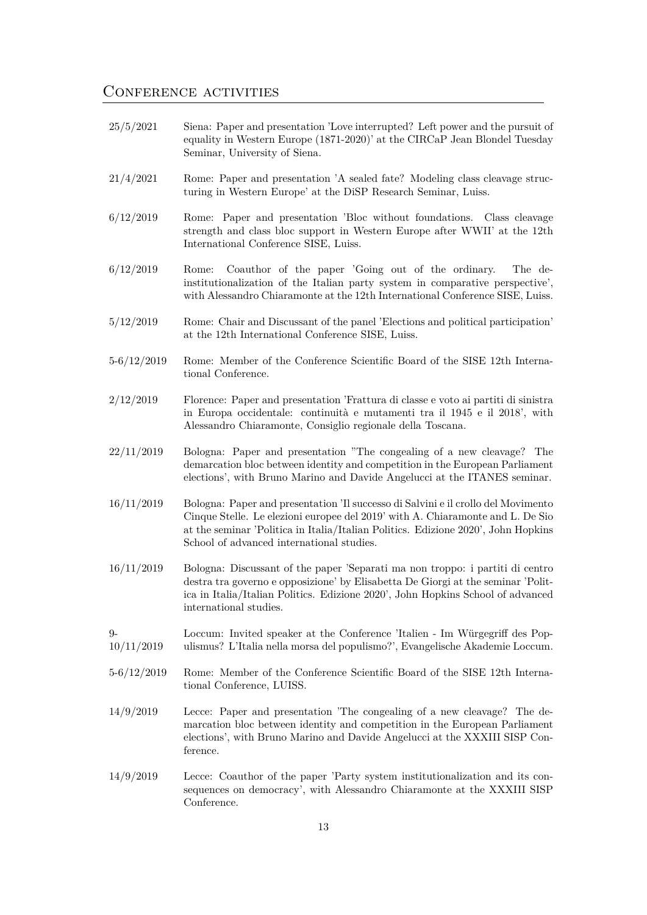## CONFERENCE ACTIVITIES

| 25/5/2021          | Siena: Paper and presentation 'Love interrupted? Left power and the pursuit of<br>equality in Western Europe (1871-2020)' at the CIRCaP Jean Blondel Tuesday<br>Seminar, University of Siena.                                                                                                         |
|--------------------|-------------------------------------------------------------------------------------------------------------------------------------------------------------------------------------------------------------------------------------------------------------------------------------------------------|
| 21/4/2021          | Rome: Paper and presentation 'A sealed fate? Modeling class cleavage struc-<br>turing in Western Europe' at the DiSP Research Seminar, Luiss.                                                                                                                                                         |
| 6/12/2019          | Rome: Paper and presentation 'Bloc without foundations. Class cleavage<br>strength and class bloc support in Western Europe after WWII' at the 12th<br>International Conference SISE, Luiss.                                                                                                          |
| 6/12/2019          | Coauthor of the paper 'Going out of the ordinary.<br>Rome:<br>The de-<br>institutionalization of the Italian party system in comparative perspective',<br>with Alessandro Chiaramonte at the 12th International Conference SISE, Luiss.                                                               |
| 5/12/2019          | Rome: Chair and Discussant of the panel 'Elections and political participation'<br>at the 12th International Conference SISE, Luiss.                                                                                                                                                                  |
| $5 - 6/12/2019$    | Rome: Member of the Conference Scientific Board of the SISE 12th Interna-<br>tional Conference.                                                                                                                                                                                                       |
| 2/12/2019          | Florence: Paper and presentation 'Frattura di classe e voto ai partiti di sinistra<br>in Europa occidentale: continuità e mutamenti tra il 1945 e il 2018', with<br>Alessandro Chiaramonte, Consiglio regionale della Toscana.                                                                        |
| 22/11/2019         | Bologna: Paper and presentation "The congealing of a new cleavage? The<br>demarcation bloc between identity and competition in the European Parliament<br>elections', with Bruno Marino and Davide Angelucci at the ITANES seminar.                                                                   |
| 16/11/2019         | Bologna: Paper and presentation 'Il successo di Salvini e il crollo del Movimento<br>Cinque Stelle. Le elezioni europee del 2019' with A. Chiaramonte and L. De Sio<br>at the seminar 'Politica in Italia/Italian Politics. Edizione 2020', John Hopkins<br>School of advanced international studies. |
| 16/11/2019         | Bologna: Discussant of the paper 'Separati ma non troppo: i partiti di centro<br>destra tra governo e opposizione' by Elisabetta De Giorgi at the seminar 'Polit-<br>ica in Italia/Italian Politics. Edizione 2020', John Hopkins School of advanced<br>international studies.                        |
| $9-$<br>10/11/2019 | Loccum: Invited speaker at the Conference 'Italien - Im Würgegriff des Pop-<br>ulismus? L'Italia nella morsa del populismo?', Evangelische Akademie Loccum.                                                                                                                                           |
| $5 - 6/12/2019$    | Rome: Member of the Conference Scientific Board of the SISE 12th Interna-<br>tional Conference, LUISS.                                                                                                                                                                                                |
| 14/9/2019          | Lecce: Paper and presentation 'The congealing of a new cleavage? The de-                                                                                                                                                                                                                              |

- marcation bloc between identity and competition in the European Parliament elections', with Bruno Marino and Davide Angelucci at the XXXIII SISP Conference.
- 14/9/2019 Lecce: Coauthor of the paper 'Party system institutionalization and its consequences on democracy', with Alessandro Chiaramonte at the XXXIII SISP Conference.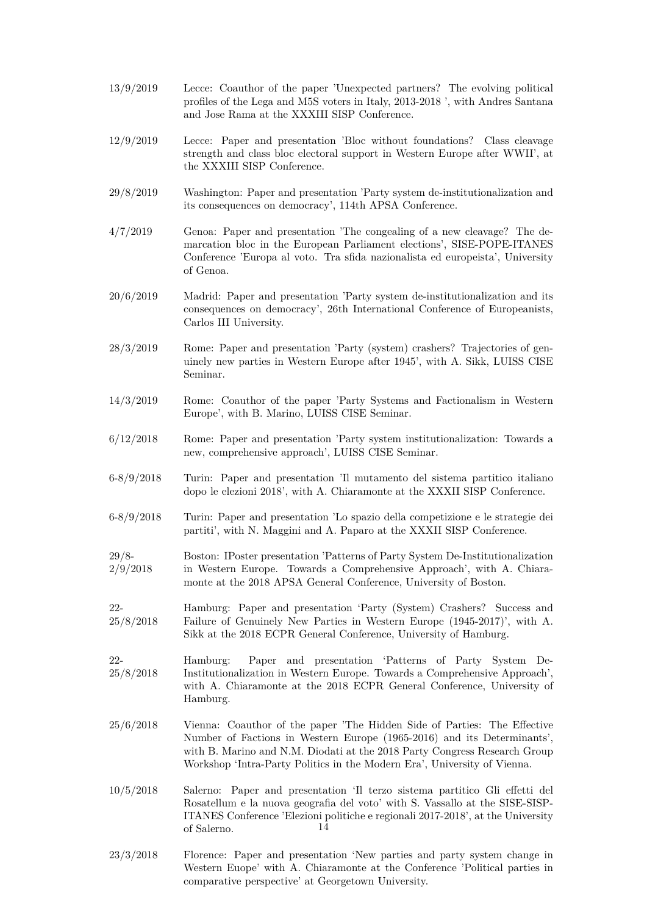- 13/9/2019 Lecce: Coauthor of the paper 'Unexpected partners? The evolving political profiles of the Lega and M5S voters in Italy, 2013-2018 ', with Andres Santana and Jose Rama at the XXXIII SISP Conference.
- 12/9/2019 Lecce: Paper and presentation 'Bloc without foundations? Class cleavage strength and class bloc electoral support in Western Europe after WWII', at the XXXIII SISP Conference.
- 29/8/2019 Washington: Paper and presentation 'Party system de-institutionalization and its consequences on democracy', 114th APSA Conference.
- 4/7/2019 Genoa: Paper and presentation 'The congealing of a new cleavage? The demarcation bloc in the European Parliament elections', SISE-POPE-ITANES Conference 'Europa al voto. Tra sfida nazionalista ed europeista', University of Genoa.
- 20/6/2019 Madrid: Paper and presentation 'Party system de-institutionalization and its consequences on democracy', 26th International Conference of Europeanists, Carlos III University.
- 28/3/2019 Rome: Paper and presentation 'Party (system) crashers? Trajectories of genuinely new parties in Western Europe after 1945', with A. Sikk, LUISS CISE Seminar.
- 14/3/2019 Rome: Coauthor of the paper 'Party Systems and Factionalism in Western Europe', with B. Marino, LUISS CISE Seminar.
- 6/12/2018 Rome: Paper and presentation 'Party system institutionalization: Towards a new, comprehensive approach', LUISS CISE Seminar.
- 6-8/9/2018 Turin: Paper and presentation 'Il mutamento del sistema partitico italiano dopo le elezioni 2018', with A. Chiaramonte at the XXXII SISP Conference.
- 6-8/9/2018 Turin: Paper and presentation 'Lo spazio della competizione e le strategie dei partiti', with N. Maggini and A. Paparo at the XXXII SISP Conference.
- 29/8- 2/9/2018 Boston: IPoster presentation 'Patterns of Party System De-Institutionalization in Western Europe. Towards a Comprehensive Approach', with A. Chiaramonte at the 2018 APSA General Conference, University of Boston.
- 22- 25/8/2018 Hamburg: Paper and presentation 'Party (System) Crashers? Success and Failure of Genuinely New Parties in Western Europe (1945-2017)', with A. Sikk at the 2018 ECPR General Conference, University of Hamburg.
- 22- 25/8/2018 Hamburg: Paper and presentation 'Patterns of Party System De-Institutionalization in Western Europe. Towards a Comprehensive Approach', with A. Chiaramonte at the 2018 ECPR General Conference, University of Hamburg.
- 25/6/2018 Vienna: Coauthor of the paper 'The Hidden Side of Parties: The Effective Number of Factions in Western Europe (1965-2016) and its Determinants', with B. Marino and N.M. Diodati at the 2018 Party Congress Research Group Workshop 'Intra-Party Politics in the Modern Era', University of Vienna.
- 10/5/2018 Salerno: Paper and presentation 'Il terzo sistema partitico Gli effetti del Rosatellum e la nuova geografia del voto' with S. Vassallo at the SISE-SISP-ITANES Conference 'Elezioni politiche e regionali 2017-2018', at the University of Salerno. 14
- 23/3/2018 Florence: Paper and presentation 'New parties and party system change in Western Euope' with A. Chiaramonte at the Conference 'Political parties in comparative perspective' at Georgetown University.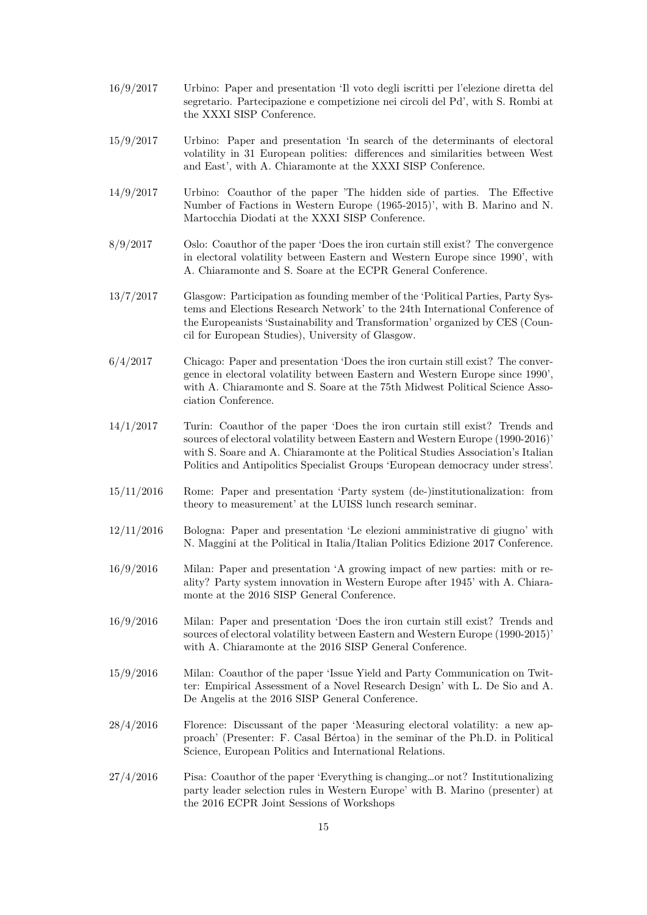- 16/9/2017 Urbino: Paper and presentation 'Il voto degli iscritti per l'elezione diretta del segretario. Partecipazione e competizione nei circoli del Pd', with S. Rombi at the XXXI SISP Conference.
- 15/9/2017 Urbino: Paper and presentation 'In search of the determinants of electoral volatility in 31 European polities: differences and similarities between West and East', with A. Chiaramonte at the XXXI SISP Conference.
- 14/9/2017 Urbino: Coauthor of the paper 'The hidden side of parties. The Effective Number of Factions in Western Europe (1965-2015)', with B. Marino and N. Martocchia Diodati at the XXXI SISP Conference.
- 8/9/2017 Oslo: Coauthor of the paper 'Does the iron curtain still exist? The convergence in electoral volatility between Eastern and Western Europe since 1990', with A. Chiaramonte and S. Soare at the ECPR General Conference.
- 13/7/2017 Glasgow: Participation as founding member of the 'Political Parties, Party Systems and Elections Research Network' to the 24th International Conference of the Europeanists 'Sustainability and Transformation' organized by CES (Council for European Studies), University of Glasgow.
- 6/4/2017 Chicago: Paper and presentation 'Does the iron curtain still exist? The convergence in electoral volatility between Eastern and Western Europe since 1990', with A. Chiaramonte and S. Soare at the 75th Midwest Political Science Association Conference.
- 14/1/2017 Turin: Coauthor of the paper 'Does the iron curtain still exist? Trends and sources of electoral volatility between Eastern and Western Europe (1990-2016)' with S. Soare and A. Chiaramonte at the Political Studies Association's Italian Politics and Antipolitics Specialist Groups 'European democracy under stress'.
- 15/11/2016 Rome: Paper and presentation 'Party system (de-)institutionalization: from theory to measurement' at the LUISS lunch research seminar.
- 12/11/2016 Bologna: Paper and presentation 'Le elezioni amministrative di giugno' with N. Maggini at the Political in Italia/Italian Politics Edizione 2017 Conference.
- 16/9/2016 Milan: Paper and presentation 'A growing impact of new parties: mith or reality? Party system innovation in Western Europe after 1945' with A. Chiaramonte at the 2016 SISP General Conference.
- 16/9/2016 Milan: Paper and presentation 'Does the iron curtain still exist? Trends and sources of electoral volatility between Eastern and Western Europe (1990-2015)' with A. Chiaramonte at the 2016 SISP General Conference.
- 15/9/2016 Milan: Coauthor of the paper 'Issue Yield and Party Communication on Twitter: Empirical Assessment of a Novel Research Design' with L. De Sio and A. De Angelis at the 2016 SISP General Conference.
- 28/4/2016 Florence: Discussant of the paper 'Measuring electoral volatility: a new approach' (Presenter: F. Casal Bértoa) in the seminar of the Ph.D. in Political Science, European Politics and International Relations.
- 27/4/2016 Pisa: Coauthor of the paper 'Everything is changing…or not? Institutionalizing party leader selection rules in Western Europe' with B. Marino (presenter) at the 2016 ECPR Joint Sessions of Workshops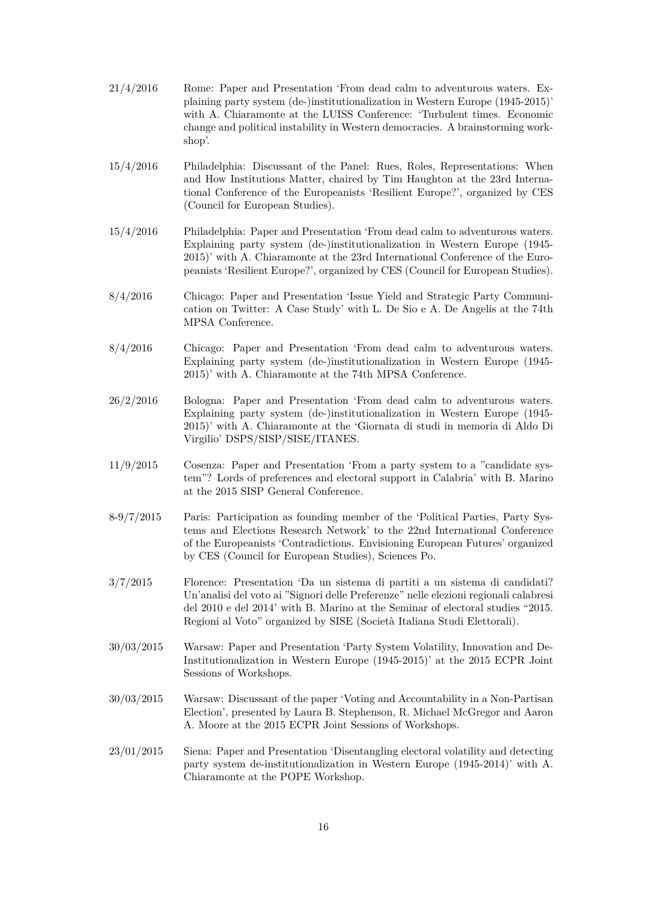- 21/4/2016 Rome: Paper and Presentation 'From dead calm to adventurous waters. Explaining party system (de-)institutionalization in Western Europe (1945-2015)' with A. Chiaramonte at the LUISS Conference: 'Turbulent times. Economic change and political instability in Western democracies. A brainstorming workshop'.
- 15/4/2016 Philadelphia: Discussant of the Panel: Rues, Roles, Representations: When and How Institutions Matter, chaired by Tim Haughton at the 23rd International Conference of the Europeanists 'Resilient Europe?', organized by CES (Council for European Studies).
- 15/4/2016 Philadelphia: Paper and Presentation 'From dead calm to adventurous waters. Explaining party system (de-)institutionalization in Western Europe (1945- 2015)' with A. Chiaramonte at the 23rd International Conference of the Europeanists 'Resilient Europe?', organized by CES (Council for European Studies).
- 8/4/2016 Chicago: Paper and Presentation 'Issue Yield and Strategic Party Communication on Twitter: A Case Study' with L. De Sio e A. De Angelis at the 74th MPSA Conference.
- 8/4/2016 Chicago: Paper and Presentation 'From dead calm to adventurous waters. Explaining party system (de-)institutionalization in Western Europe (1945- 2015)' with A. Chiaramonte at the 74th MPSA Conference.
- 26/2/2016 Bologna: Paper and Presentation 'From dead calm to adventurous waters. Explaining party system (de-)institutionalization in Western Europe (1945- 2015)' with A. Chiaramonte at the 'Giornata di studi in memoria di Aldo Di Virgilio' DSPS/SISP/SISE/ITANES.
- 11/9/2015 Cosenza: Paper and Presentation 'From a party system to a "candidate system"? Lords of preferences and electoral support in Calabria' with B. Marino at the 2015 SISP General Conference.
- 8-9/7/2015 Paris: Participation as founding member of the 'Political Parties, Party Systems and Elections Research Network' to the 22nd International Conference of the Europeanists 'Contradictions. Envisioning European Futures' organized by CES (Council for European Studies), Sciences Po.
- 3/7/2015 Florence: Presentation 'Da un sistema di partiti a un sistema di candidati? Un'analisi del voto ai "Signori delle Preferenze" nelle elezioni regionali calabresi del 2010 e del 2014' with B. Marino at the Seminar of electoral studies "2015. Regioni al Voto" organized by SISE (Società Italiana Studi Elettorali).
- 30/03/2015 Warsaw: Paper and Presentation 'Party System Volatility, Innovation and De-Institutionalization in Western Europe (1945-2015)' at the 2015 ECPR Joint Sessions of Workshops.
- 30/03/2015 Warsaw: Discussant of the paper 'Voting and Accountability in a Non-Partisan Election', presented by Laura B. Stephenson, R. Michael McGregor and Aaron A. Moore at the 2015 ECPR Joint Sessions of Workshops.
- 23/01/2015 Siena: Paper and Presentation 'Disentangling electoral volatility and detecting party system de-institutionalization in Western Europe (1945-2014)' with A. Chiaramonte at the POPE Workshop.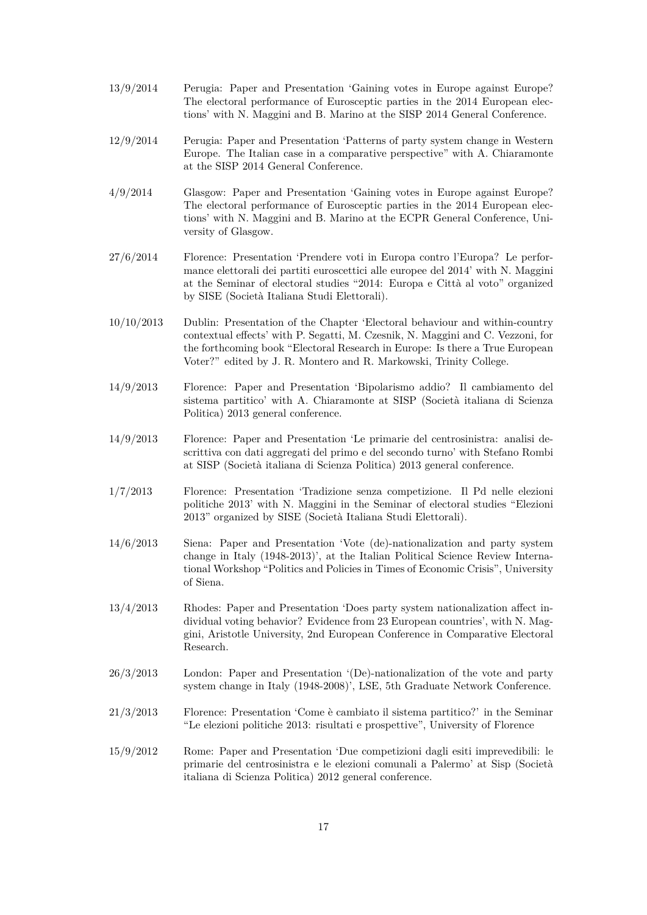- 13/9/2014 Perugia: Paper and Presentation 'Gaining votes in Europe against Europe? The electoral performance of Eurosceptic parties in the 2014 European elections' with N. Maggini and B. Marino at the SISP 2014 General Conference.
- 12/9/2014 Perugia: Paper and Presentation 'Patterns of party system change in Western Europe. The Italian case in a comparative perspective" with A. Chiaramonte at the SISP 2014 General Conference.
- 4/9/2014 Glasgow: Paper and Presentation 'Gaining votes in Europe against Europe? The electoral performance of Eurosceptic parties in the 2014 European elections' with N. Maggini and B. Marino at the ECPR General Conference, University of Glasgow.
- 27/6/2014 Florence: Presentation 'Prendere voti in Europa contro l'Europa? Le performance elettorali dei partiti euroscettici alle europee del 2014' with N. Maggini at the Seminar of electoral studies "2014: Europa e Città al voto" organized by SISE (Società Italiana Studi Elettorali).
- 10/10/2013 Dublin: Presentation of the Chapter 'Electoral behaviour and within-country contextual effects' with P. Segatti, M. Czesnik, N. Maggini and C. Vezzoni, for the forthcoming book "Electoral Research in Europe: Is there a True European Voter?" edited by J. R. Montero and R. Markowski, Trinity College.
- 14/9/2013 Florence: Paper and Presentation 'Bipolarismo addio? Il cambiamento del sistema partitico' with A. Chiaramonte at SISP (Società italiana di Scienza Politica) 2013 general conference.
- 14/9/2013 Florence: Paper and Presentation 'Le primarie del centrosinistra: analisi descrittiva con dati aggregati del primo e del secondo turno' with Stefano Rombi at SISP (Società italiana di Scienza Politica) 2013 general conference.
- 1/7/2013 Florence: Presentation 'Tradizione senza competizione. Il Pd nelle elezioni politiche 2013' with N. Maggini in the Seminar of electoral studies "Elezioni 2013" organized by SISE (Società Italiana Studi Elettorali).
- 14/6/2013 Siena: Paper and Presentation 'Vote (de)-nationalization and party system change in Italy (1948-2013)', at the Italian Political Science Review International Workshop "Politics and Policies in Times of Economic Crisis", University of Siena.
- 13/4/2013 Rhodes: Paper and Presentation 'Does party system nationalization affect individual voting behavior? Evidence from 23 European countries', with N. Maggini, Aristotle University, 2nd European Conference in Comparative Electoral Research.
- 26/3/2013 London: Paper and Presentation '(De)-nationalization of the vote and party system change in Italy (1948-2008)', LSE, 5th Graduate Network Conference.
- 21/3/2013 Florence: Presentation 'Come è cambiato il sistema partitico?' in the Seminar "Le elezioni politiche 2013: risultati e prospettive", University of Florence
- 15/9/2012 Rome: Paper and Presentation 'Due competizioni dagli esiti imprevedibili: le primarie del centrosinistra e le elezioni comunali a Palermo' at Sisp (Società italiana di Scienza Politica) 2012 general conference.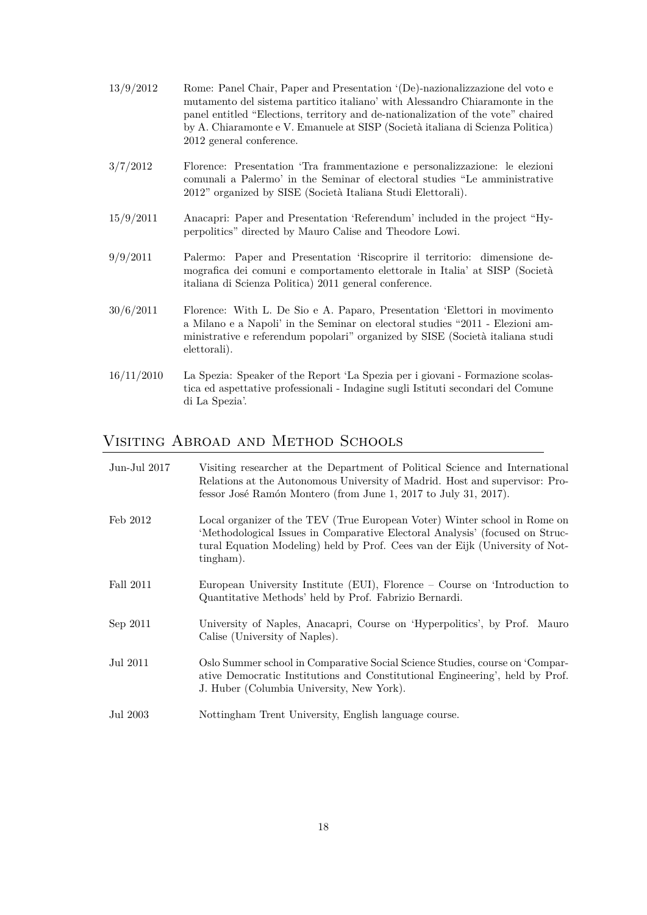- 13/9/2012 Rome: Panel Chair, Paper and Presentation '(De)-nazionalizzazione del voto e mutamento del sistema partitico italiano' with Alessandro Chiaramonte in the panel entitled "Elections, territory and de-nationalization of the vote" chaired by A. Chiaramonte e V. Emanuele at SISP (Società italiana di Scienza Politica) 2012 general conference.
- 3/7/2012 Florence: Presentation 'Tra frammentazione e personalizzazione: le elezioni comunali a Palermo' in the Seminar of electoral studies "Le amministrative 2012" organized by SISE (Società Italiana Studi Elettorali).
- 15/9/2011 Anacapri: Paper and Presentation 'Referendum' included in the project "Hyperpolitics" directed by Mauro Calise and Theodore Lowi.
- 9/9/2011 Palermo: Paper and Presentation 'Riscoprire il territorio: dimensione demografica dei comuni e comportamento elettorale in Italia' at SISP (Società italiana di Scienza Politica) 2011 general conference.
- 30/6/2011 Florence: With L. De Sio e A. Paparo, Presentation 'Elettori in movimento a Milano e a Napoli' in the Seminar on electoral studies "2011 - Elezioni amministrative e referendum popolari" organized by SISE (Società italiana studi elettorali).
- 16/11/2010 La Spezia: Speaker of the Report 'La Spezia per i giovani Formazione scolastica ed aspettative professionali - Indagine sugli Istituti secondari del Comune di La Spezia'.

## Visiting Abroad and Method Schools

| Jun-Jul $2017$ | Visiting researcher at the Department of Political Science and International<br>Relations at the Autonomous University of Madrid. Host and supervisor: Pro-<br>fessor José Ramón Montero (from June 1, 2017 to July 31, 2017).                         |
|----------------|--------------------------------------------------------------------------------------------------------------------------------------------------------------------------------------------------------------------------------------------------------|
| Feb 2012       | Local organizer of the TEV (True European Voter) Winter school in Rome on<br>'Methodological Issues in Comparative Electoral Analysis' (focused on Struc-<br>tural Equation Modeling) held by Prof. Cees van der Eijk (University of Not-<br>tingham). |
| Fall 2011      | European University Institute (EUI), Florence – Course on 'Introduction to<br>Quantitative Methods' held by Prof. Fabrizio Bernardi.                                                                                                                   |
| Sep 2011       | University of Naples, Anacapri, Course on 'Hyperpolitics', by Prof. Mauro<br>Calise (University of Naples).                                                                                                                                            |
| Jul 2011       | Oslo Summer school in Comparative Social Science Studies, course on 'Compar-<br>ative Democratic Institutions and Constitutional Engineering', held by Prof.<br>J. Huber (Columbia University, New York).                                              |
| Jul 2003       | Nottingham Trent University, English language course.                                                                                                                                                                                                  |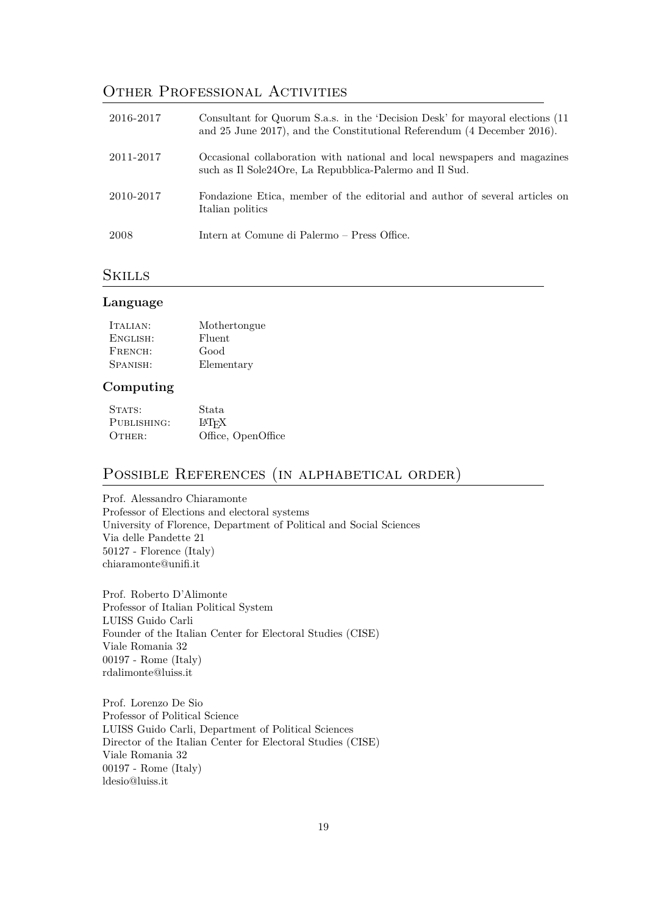# OTHER PROFESSIONAL ACTIVITIES

| 2016-2017 | Consultant for Quorum S.a.s. in the 'Decision Desk' for mayoral elections (11)<br>and 25 June 2017), and the Constitutional Referendum (4 December 2016). |
|-----------|-----------------------------------------------------------------------------------------------------------------------------------------------------------|
| 2011-2017 | Occasional collaboration with national and local newspapers and magazines<br>such as Il Sole24Ore, La Repubblica-Palermo and Il Sud.                      |
| 2010-2017 | Fondazione Etica, member of the editorial and author of several articles on<br>Italian politics                                                           |
| 2008      | Intern at Comune di Palermo – Press Office.                                                                                                               |

## **SKILLS**

### **Language**

| Mothertongue |
|--------------|
| Fluent       |
| Good         |
| Elementary   |
|              |

## **Computing**

| STATS:      | Stata                   |
|-------------|-------------------------|
| PUBLISHING: | <b>IAT<sub>F</sub>X</b> |
| OTHER:      | Office, OpenOffice      |

# POSSIBLE REFERENCES (IN ALPHABETICAL ORDER)

Prof. Alessandro Chiaramonte Professor of Elections and electoral systems University of Florence, Department of Political and Social Sciences Via delle Pandette 21 50127 - Florence (Italy) chiaramonte@unifi.it

Prof. Roberto D'Alimonte Professor of Italian Political System LUISS Guido Carli Founder of the Italian Center for Electoral Studies (CISE) Viale Romania 32 00197 - Rome (Italy) rdalimonte@luiss.it

Prof. Lorenzo De Sio Professor of Political Science LUISS Guido Carli, Department of Political Sciences Director of the Italian Center for Electoral Studies (CISE) Viale Romania 32 00197 - Rome (Italy) ldesio@luiss.it